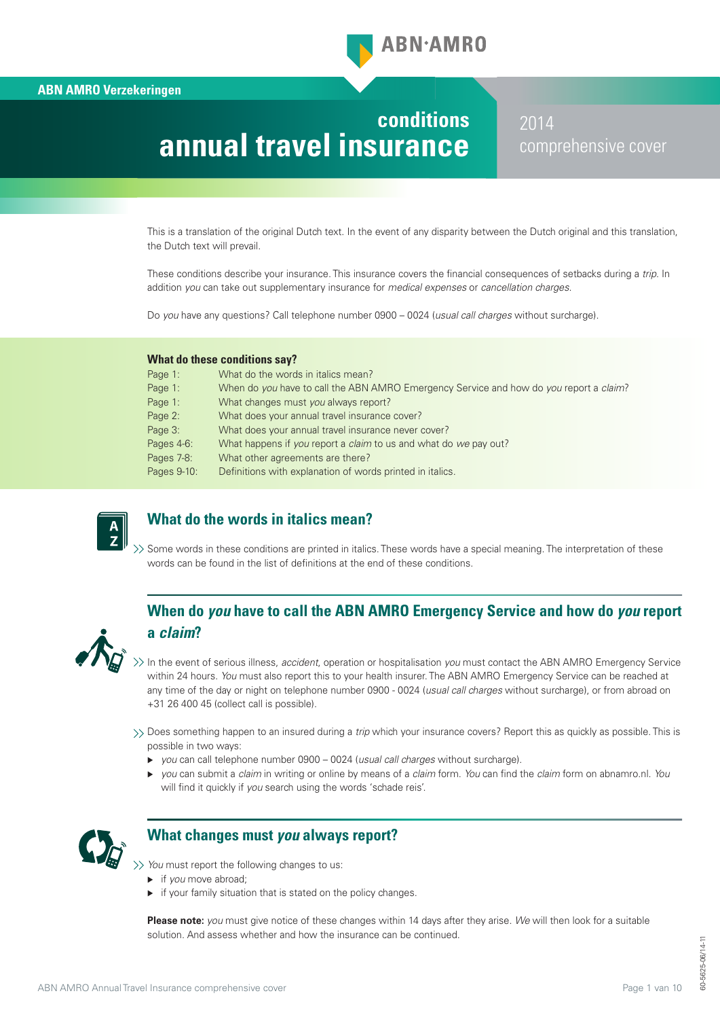# **conditions annual travel insurance**

2014 comprehensive cover

This is a translation of the original Dutch text. In the event of any disparity between the Dutch original and this translation, the Dutch text will prevail.

These conditions describe your insurance. This insurance covers the financial consequences of setbacks during a *trip*. In addition *you* can take out supplementary insurance for *medical expenses* or *cancellation charges*.

Do *you* have any questions? Call telephone number 0900 – 0024 (*usual call charges* without surcharge).

#### **What do these conditions say?**

| Page 1:     | What do the words in italics mean?                                                     |
|-------------|----------------------------------------------------------------------------------------|
| Page 1:     | When do you have to call the ABN AMRO Emergency Service and how do you report a claim? |
| Page 1:     | What changes must you always report?                                                   |
| Page 2:     | What does your annual travel insurance cover?                                          |
| Page 3:     | What does your annual travel insurance never cover?                                    |
| Pages 4-6:  | What happens if you report a claim to us and what do we pay out?                       |
| Pages 7-8:  | What other agreements are there?                                                       |
| Pages 9-10: | Definitions with explanation of words printed in italics.                              |
|             |                                                                                        |



# **What do the words in italics mean?**

>> Some words in these conditions are printed in italics. These words have a special meaning. The interpretation of these words can be found in the list of definitions at the end of these conditions.

# **When do** *you* **have to call the ABN AMRO Emergency Service and how do** *you* **report a** *claim***?**



In the event of serious illness, *accident*, operation or hospitalisation *you* must contact the ABN AMRO Emergency Service within 24 hours. *You* must also report this to your health insurer. The ABN AMRO Emergency Service can be reached at any time of the day or night on telephone number 0900 - 0024 (*usual call charges* without surcharge), or from abroad on +31 26 400 45 (collect call is possible).

Does something happen to an insured during a *trip* which your insurance covers? Report this as quickly as possible. This is possible in two ways:

- *you* can call telephone number 0900 0024 (*usual call charges* without surcharge).
- ▶ you can submit a *claim* in writing or online by means of a *claim* form. *You* can find the *claim* form on abnamro.nl. *You* will find it quickly if *you* search using the words 'schade reis'.



# **What changes must** *you* **always report?**

*You* must report the following changes to us:

- **i** if you move abroad;
- $\blacktriangleright$  if your family situation that is stated on the policy changes.

**Please note:** *you* must give notice of these changes within 14 days after they arise. *We* will then look for a suitable solution. And assess whether and how the insurance can be continued.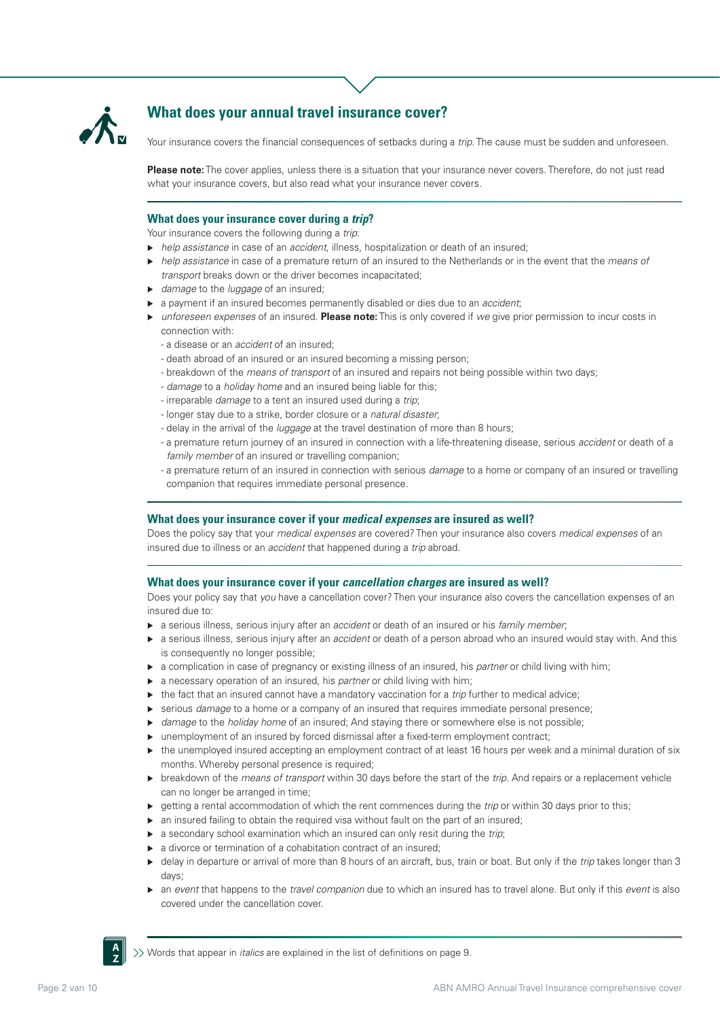

# **What does your annual travel insurance cover?**

Your insurance covers the financial consequences of setbacks during a *trip*. The cause must be sudden and unforeseen.

**Please note:** The cover applies, unless there is a situation that your insurance never covers. Therefore, do not just read what your insurance covers, but also read what your insurance never covers.

# **What does your insurance cover during a** *trip***?**

Your insurance covers the following during a *trip*:

- *help assistance* in case of an *accident*, illness, hospitalization or death of an insured;
- *help assistance* in case of a premature return of an insured to the Netherlands or in the event that the *means of transport* breaks down or the driver becomes incapacitated;
- *damage* to the *luggage* of an insured;
- a payment if an insured becomes permanently disabled or dies due to an *accident*;
- *unforeseen expenses* of an insured. **Please note:** This is only covered if *we* give prior permission to incur costs in connection with:
	- a disease or an *accident* of an insured;
	- death abroad of an insured or an insured becoming a missing person;
	- breakdown of the *means of transport* of an insured and repairs not being possible within two days;
	- *damage* to a *holiday home* and an insured being liable for this;
	- irreparable *damage* to a tent an insured used during a *trip*;
	- longer stay due to a strike, border closure or a *natural disaster*;
	- delay in the arrival of the *luggage* at the travel destination of more than 8 hours;
	- a premature return journey of an insured in connection with a life-threatening disease, serious *accident* or death of a *family member* of an insured or travelling companion;
	- a premature return of an insured in connection with serious *damage* to a home or company of an insured or travelling companion that requires immediate personal presence.

### **What does your insurance cover if your** *medical expenses* **are insured as well?**

Does the policy say that your *medical expenses* are covered? Then your insurance also covers *medical expenses* of an insured due to illness or an *accident* that happened during a *trip* abroad.

### **What does your insurance cover if your** *cancellation charges* **are insured as well?**

Does your policy say that *you* have a cancellation cover? Then your insurance also covers the cancellation expenses of an insured due to:

- a serious illness, serious injury after an *accident* or death of an insured or his *family member*;
- a serious illness, serious injury after an *accident* or death of a person abroad who an insured would stay with. And this is consequently no longer possible;
- a complication in case of pregnancy or existing illness of an insured, his *partner* or child living with him;
- a necessary operation of an insured, his *partner* or child living with him;
- ▶ the fact that an insured cannot have a mandatory vaccination for a *trip* further to medical advice;
- serious *damage* to a home or a company of an insured that requires immediate personal presence;
- ▶ *damage* to the *holiday home* of an insured; And staying there or somewhere else is not possible;
- ▶ unemployment of an insured by forced dismissal after a fixed-term employment contract:
- ► the unemployed insured accepting an employment contract of at least 16 hours per week and a minimal duration of six months. Whereby personal presence is required;
- breakdown of the *means of transport* within 30 days before the start of the *trip*. And repairs or a replacement vehicle can no longer be arranged in time;
- etting a rental accommodation of which the rent commences during the *trip* or within 30 days prior to this;
- $\triangleright$  an insured failing to obtain the required visa without fault on the part of an insured;
- a secondary school examination which an insured can only resit during the *trip*;
- a divorce or termination of a cohabitation contract of an insured;
- delay in departure or arrival of more than 8 hours of an aircraft, bus, train or boat. But only if the *trip* takes longer than 3 days;
- an *event* that happens to the *travel companion* due to which an insured has to travel alone. But only if this *event* is also covered under the cancellation cover.



Words that appear in *italics* are explained in the list of definitions on page 9.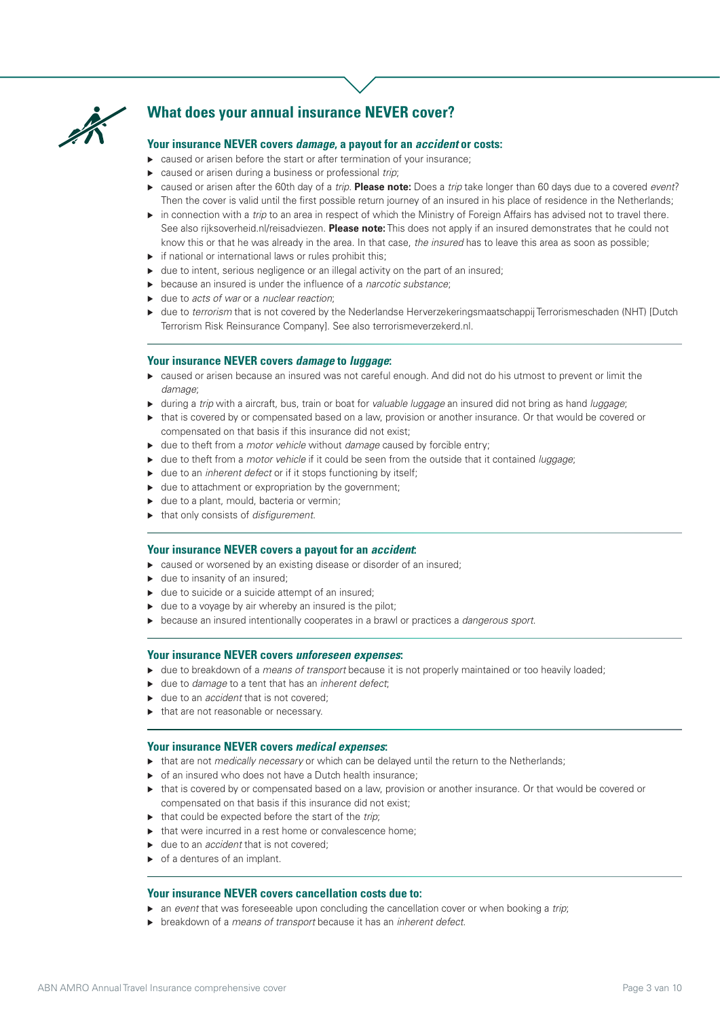

# **What does your annual insurance NEVER cover?**

## **Your insurance NEVER covers** *damage***, a payout for an** *accident* **or costs:**

- ▶ caused or arisen before the start or after termination of your insurance;
- caused or arisen during a business or professional *trip*;
- caused or arisen after the 60th day of a *trip*. **Please note:** Does a *trip* take longer than 60 days due to a covered *event*? Then the cover is valid until the first possible return journey of an insured in his place of residence in the Netherlands;
- in connection with a *trip* to an area in respect of which the Ministry of Foreign Affairs has advised not to travel there. See also rijksoverheid.nl/reisadviezen. **Please note:** This does not apply if an insured demonstrates that he could not know this or that he was already in the area. In that case, *the insured* has to leave this area as soon as possible;
- $\triangleright$  if national or international laws or rules prohibit this;
- ▶ due to intent, serious negligence or an illegal activity on the part of an insured;
- because an insured is under the influence of a *narcotic substance*;
- due to *acts of war* or a *nuclear reaction*;
- due to *terrorism* that is not covered by the Nederlandse Herverzekeringsmaatschappij Terrorismeschaden (NHT) [Dutch Terrorism Risk Reinsurance Company]. See also terrorismeverzekerd.nl.

#### **Your insurance NEVER covers** *damage* **to** *luggage***:**

- caused or arisen because an insured was not careful enough. And did not do his utmost to prevent or limit the *damage*;
- during a *trip* with a aircraft, bus, train or boat for *valuable luggage* an insured did not bring as hand *luggage*;
- ► that is covered by or compensated based on a law, provision or another insurance. Or that would be covered or compensated on that basis if this insurance did not exist;
- due to theft from a *motor vehicle* without *damage* caused by forcible entry;
- ▶ due to theft from a *motor vehicle* if it could be seen from the outside that it contained *luggage*;
- ► due to an *inherent defect* or if it stops functioning by itself;
- $\triangleright$  due to attachment or expropriation by the government;
- ▶ due to a plant, mould, bacteria or vermin;
- that only consists of *disfigurement*.

## **Your insurance NEVER covers a payout for an** *accident***:**

- ► caused or worsened by an existing disease or disorder of an insured;
- ► due to insanity of an insured;
- $\blacktriangleright$  due to suicide or a suicide attempt of an insured;
- $\triangleright$  due to a voyage by air whereby an insured is the pilot;
- because an insured intentionally cooperates in a brawl or practices a *dangerous sport*.

#### **Your insurance NEVER covers** *unforeseen expenses***:**

- ► due to breakdown of a *means of transport* because it is not properly maintained or too heavily loaded;
- due to *damage* to a tent that has an *inherent defect*;
- ▶ due to an *accident* that is not covered:
- $\blacktriangleright$  that are not reasonable or necessary.

# **Your insurance NEVER covers** *medical expenses***:**

- ► that are not *medically necessary* or which can be delayed until the return to the Netherlands;
- $\triangleright$  of an insured who does not have a Dutch health insurance;
- that is covered by or compensated based on a law, provision or another insurance. Or that would be covered or compensated on that basis if this insurance did not exist;
- ▶ that could be expected before the start of the *trip*;
- $\blacktriangleright$  that were incurred in a rest home or convalescence home:
- ▶ due to an *accident* that is not covered;
- $\triangleright$  of a dentures of an implant.

#### **Your insurance NEVER covers cancellation costs due to:**

- an *event* that was foreseeable upon concluding the cancellation cover or when booking a *trip*;
- breakdown of a *means of transport* because it has an *inherent defect*.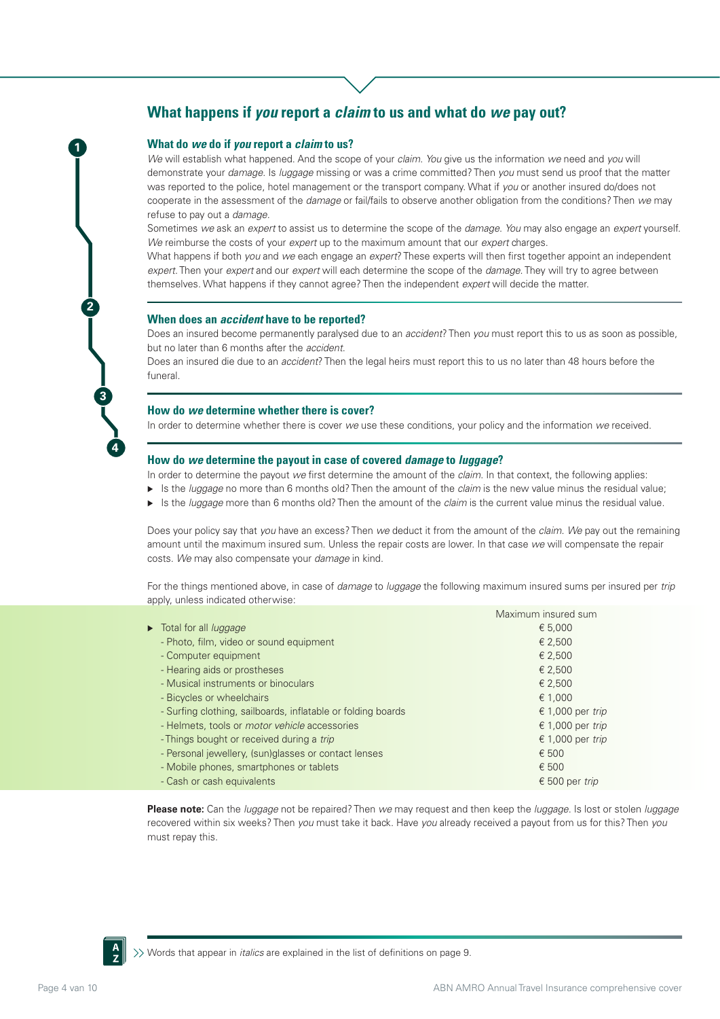# **What happens if** *you* **report a** *claim* **to us and what do** *we* **pay out?**

### **What do** *we* **do if** *you* **report a** *claim* **to us?**

**1**

**2**

**3**

**4**

*We* will establish what happened. And the scope of your *claim*. *You* give us the information *we* need and *you* will demonstrate your *damage*. Is *luggage* missing or was a crime committed? Then *you* must send us proof that the matter was reported to the police, hotel management or the transport company. What if *you* or another insured do/does not cooperate in the assessment of the *damage* or fail/fails to observe another obligation from the conditions? Then *we* may refuse to pay out a *damage*.

Sometimes *we* ask an *expert* to assist us to determine the scope of the *damage*. *You* may also engage an *expert* yourself. *We* reimburse the costs of your *expert* up to the maximum amount that our *expert* charges.

What happens if both *you* and *we* each engage an *expert*? These experts will then first together appoint an independent *expert*. Then your *expert* and our *expert* will each determine the scope of the *damage*. They will try to agree between themselves. What happens if they cannot agree? Then the independent *expert* will decide the matter.

#### **When does an** *accident* **have to be reported?**

Does an insured become permanently paralysed due to an *accident*? Then *you* must report this to us as soon as possible, but no later than 6 months after the *accident*.

Does an insured die due to an *accident*? Then the legal heirs must report this to us no later than 48 hours before the funeral.

#### **How do** *we* **determine whether there is cover?**

In order to determine whether there is cover *we* use these conditions, your policy and the information *we* received.

### **How do** *we* **determine the payout in case of covered** *damage* **to** *luggage***?**

In order to determine the payout *we* first determine the amount of the *claim*. In that context, the following applies:

- ► Is the *luggage* no more than 6 months old? Then the amount of the *claim* is the new value minus the residual value;
- Is the *luggage* more than 6 months old? Then the amount of the *claim* is the current value minus the residual value.

Does your policy say that *you* have an excess? Then *we* deduct it from the amount of the *claim*. *We* pay out the remaining amount until the maximum insured sum. Unless the repair costs are lower. In that case *we* will compensate the repair costs. *We* may also compensate your *damage* in kind.

For the things mentioned above, in case of *damage* to *luggage* the following maximum insured sums per insured per *trip* apply, unless indicated otherwise:

|                                                              | Maximum insured sum |
|--------------------------------------------------------------|---------------------|
| Total for all <i>luggage</i>                                 | € 5,000             |
| - Photo, film, video or sound equipment                      | € 2,500             |
| - Computer equipment                                         | € 2,500             |
| - Hearing aids or prostheses                                 | € 2.500             |
| - Musical instruments or binoculars                          | € 2,500             |
| - Bicycles or wheelchairs                                    | € 1,000             |
| - Surfing clothing, sailboards, inflatable or folding boards | € 1,000 per trip    |
| - Helmets, tools or <i>motor vehicle</i> accessories         | € 1,000 per trip    |
| - Things bought or received during a trip                    | € 1,000 per trip    |
| - Personal jewellery, (sun)glasses or contact lenses         | € 500               |
| - Mobile phones, smartphones or tablets                      | € 500               |
| - Cash or cash equivalents                                   | € 500 per trip      |
|                                                              |                     |

**Please note:** Can the *luggage* not be repaired? Then *we* may request and then keep the *luggage*. Is lost or stolen *luggage* recovered within six weeks? Then *you* must take it back. Have *you* already received a payout from us for this? Then *you* must repay this.



 $\gg$  Words that appear in *italics* are explained in the list of definitions on page 9.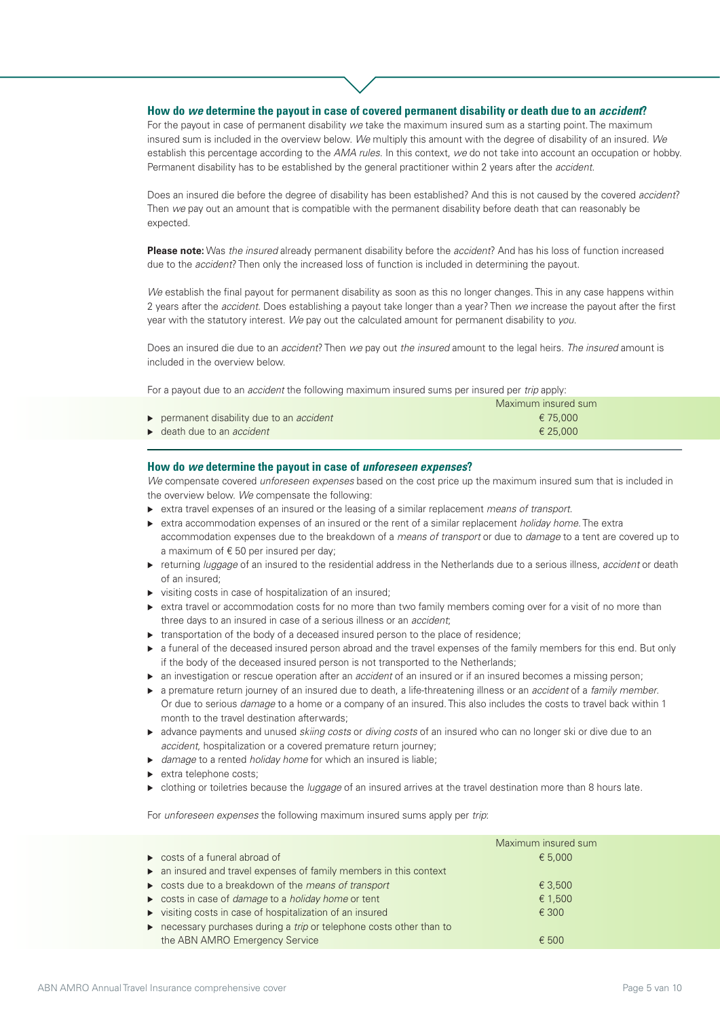# **How do** *we* **determine the payout in case of covered permanent disability or death due to an** *accident***?**

For the payout in case of permanent disability *we* take the maximum insured sum as a starting point. The maximum insured sum is included in the overview below. *We* multiply this amount with the degree of disability of an insured. *We* establish this percentage according to the *AMA rules*. In this context, *we* do not take into account an occupation or hobby. Permanent disability has to be established by the general practitioner within 2 years after the *accident*.

Does an insured die before the degree of disability has been established? And this is not caused by the covered *accident*? Then *we* pay out an amount that is compatible with the permanent disability before death that can reasonably be expected.

**Please note:** Was *the insured* already permanent disability before the *accident*? And has his loss of function increased due to the *accident*? Then only the increased loss of function is included in determining the payout.

*We* establish the final payout for permanent disability as soon as this no longer changes. This in any case happens within 2 years after the *accident*. Does establishing a payout take longer than a year? Then *we* increase the payout after the first year with the statutory interest. *We* pay out the calculated amount for permanent disability to *you*.

Does an insured die due to an *accident*? Then *we* pay out *the insured* amount to the legal heirs. *The insured* amount is included in the overview below.

For a payout due to an *accident* the following maximum insured sums per insured per *trip* apply:

|                                               | Maximum insured sum |
|-----------------------------------------------|---------------------|
| permanent disability due to an accident       | € 75.000            |
| $\rightarrow$ death due to an <i>accident</i> | € 25.000            |

#### **How do** *we* **determine the payout in case of** *unforeseen expenses***?**

*We* compensate covered *unforeseen expenses* based on the cost price up the maximum insured sum that is included in the overview below. *We* compensate the following:

- extra travel expenses of an insured or the leasing of a similar replacement *means of transport*.
- extra accommodation expenses of an insured or the rent of a similar replacement *holiday home*. The extra accommodation expenses due to the breakdown of a *means of transport* or due to *damage* to a tent are covered up to a maximum of  $\epsilon$  50 per insured per day;
- returning *luggage* of an insured to the residential address in the Netherlands due to a serious illness, *accident* or death of an insured;
- visiting costs in case of hospitalization of an insured;
- extra travel or accommodation costs for no more than two family members coming over for a visit of no more than three days to an insured in case of a serious illness or an *accident*;
- $\triangleright$  transportation of the body of a deceased insured person to the place of residence;
- $\triangleright$  a funeral of the deceased insured person abroad and the travel expenses of the family members for this end. But only if the body of the deceased insured person is not transported to the Netherlands;
- an investigation or rescue operation after an *accident* of an insured or if an insured becomes a missing person;
- a premature return journey of an insured due to death, a life-threatening illness or an *accident* of a *family member*. Or due to serious *damage* to a home or a company of an insured. This also includes the costs to travel back within 1 month to the travel destination afterwards;
- advance payments and unused *skiing costs* or *diving costs* of an insured who can no longer ski or dive due to an *accident*, hospitalization or a covered premature return journey;
- *damage* to a rented *holiday home* for which an insured is liable;
- $\blacktriangleright$  extra telephone costs;
- clothing or toiletries because the *luggage* of an insured arrives at the travel destination more than 8 hours late.

For *unforeseen expenses* the following maximum insured sums apply per *trip*:

|                                                                    | Maximum insured sum |
|--------------------------------------------------------------------|---------------------|
| $\triangleright$ costs of a funeral abroad of                      | € 5.000             |
| • an insured and travel expenses of family members in this context |                     |
| ► costs due to a breakdown of the means of transport               | € 3.500             |
| ► costs in case of <i>damage</i> to a <i>holiday home</i> or tent  | € 1,500             |
| visiting costs in case of hospitalization of an insured            | $\epsilon$ 300      |
| necessary purchases during a trip or telephone costs other than to |                     |
| the ABN AMRO Emergency Service                                     | $\epsilon$ 500      |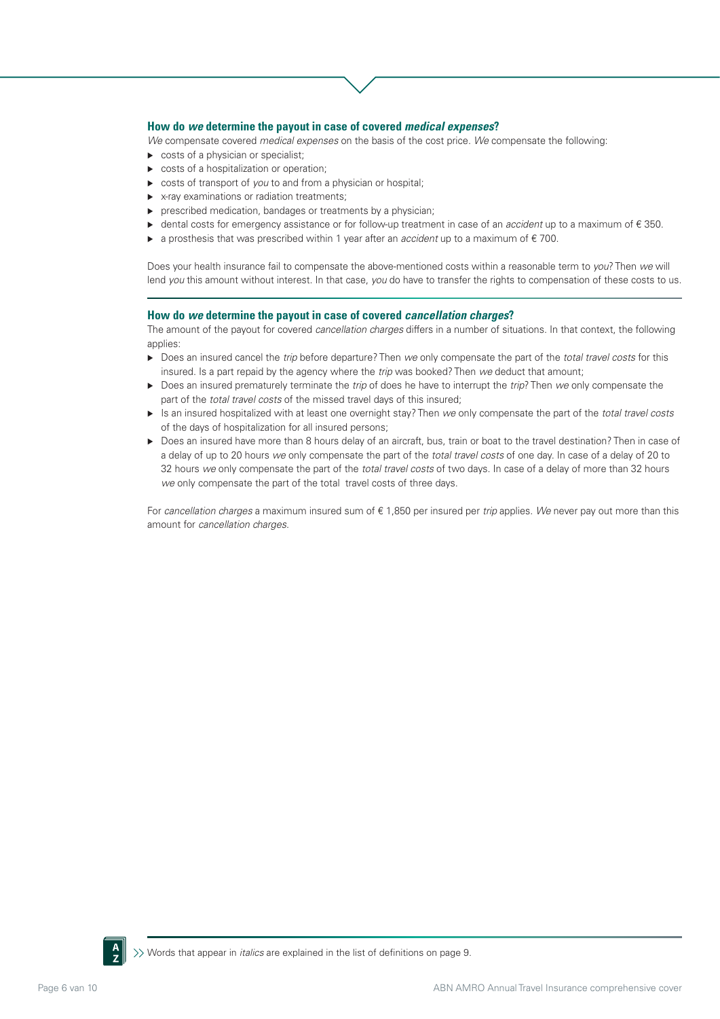### **How do** *we* **determine the payout in case of covered** *medical expenses***?**

*We* compensate covered *medical expenses* on the basis of the cost price. *We* compensate the following:

- costs of a physician or specialist;
- costs of a hospitalization or operation;
- costs of transport of *you* to and from a physician or hospital;
- ▶ x-ray examinations or radiation treatments;
- **P** prescribed medication, bandages or treatments by a physician;
- dental costs for emergency assistance or for follow-up treatment in case of an *accident* up to a maximum of € 350.
- a prosthesis that was prescribed within 1 year after an *accident* up to a maximum of € 700.

Does your health insurance fail to compensate the above-mentioned costs within a reasonable term to *you*? Then *we* will lend *you* this amount without interest. In that case, *you* do have to transfer the rights to compensation of these costs to us.

#### **How do** *we* **determine the payout in case of covered** *cancellation charges***?**

The amount of the payout for covered *cancellation charges* differs in a number of situations. In that context, the following applies:

- Does an insured cancel the *trip* before departure? Then *we* only compensate the part of the *total travel costs* for this insured. Is a part repaid by the agency where the *trip* was booked? Then *we* deduct that amount;
- Does an insured prematurely terminate the *trip* of does he have to interrupt the *trip*? Then *we* only compensate the part of the *total travel costs* of the missed travel days of this insured;
- Is an insured hospitalized with at least one overnight stay? Then *we* only compensate the part of the *total travel costs* of the days of hospitalization for all insured persons;
- ▶ Does an insured have more than 8 hours delay of an aircraft, bus, train or boat to the travel destination? Then in case of a delay of up to 20 hours *we* only compensate the part of the *total travel costs* of one day. In case of a delay of 20 to 32 hours *we* only compensate the part of the *total travel costs* of two days. In case of a delay of more than 32 hours *we* only compensate the part of the total travel costs of three days.

For *cancellation charges* a maximum insured sum of € 1,850 per insured per *trip* applies. *We* never pay out more than this amount for *cancellation charges*.

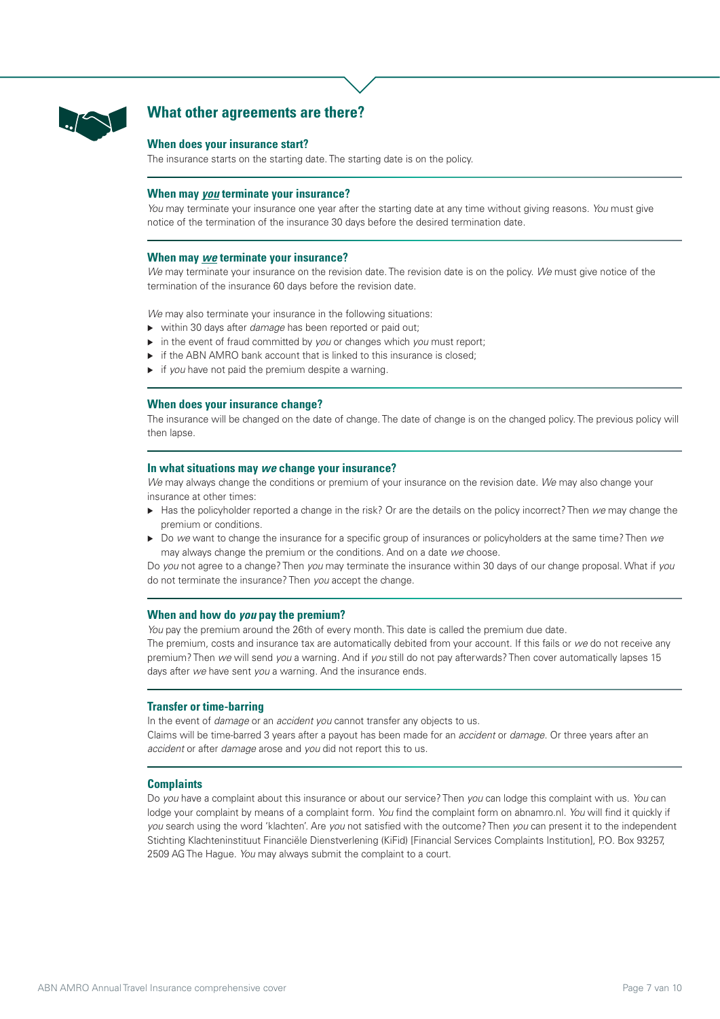

# **What other agreements are there?**

#### **When does your insurance start?**

The insurance starts on the starting date. The starting date is on the policy.

### **When may** *you* **terminate your insurance?**

*You* may terminate your insurance one year after the starting date at any time without giving reasons. *You* must give notice of the termination of the insurance 30 days before the desired termination date.

### **When may** *we* **terminate your insurance?**

*We* may terminate your insurance on the revision date. The revision date is on the policy. *We* must give notice of the termination of the insurance 60 days before the revision date.

*We* may also terminate your insurance in the following situations:

- within 30 days after *damage* has been reported or paid out;
- in the event of fraud committed by *you* or changes which *you* must report;
- $\triangleright$  if the ABN AMRO bank account that is linked to this insurance is closed;
- if *you* have not paid the premium despite a warning.

# **When does your insurance change?**

The insurance will be changed on the date of change. The date of change is on the changed policy. The previous policy will then lapse.

#### **In what situations may** *we* **change your insurance?**

*We* may always change the conditions or premium of your insurance on the revision date. *We* may also change your insurance at other times:

- Has the policyholder reported a change in the risk? Or are the details on the policy incorrect? Then *we* may change the premium or conditions.
- Do *we* want to change the insurance for a specific group of insurances or policyholders at the same time? Then *we* may always change the premium or the conditions. And on a date *we* choose.

Do *you* not agree to a change? Then *you* may terminate the insurance within 30 days of our change proposal. What if *you* do not terminate the insurance? Then *you* accept the change.

#### **When and how do** *you* **pay the premium?**

*You* pay the premium around the 26th of every month. This date is called the premium due date.

The premium, costs and insurance tax are automatically debited from your account. If this fails or *we* do not receive any premium? Then *we* will send *you* a warning. And if *you* still do not pay afterwards? Then cover automatically lapses 15 days after *we* have sent *you* a warning. And the insurance ends.

# **Transfer or time-barring**

In the event of *damage* or an *accident you* cannot transfer any objects to us. Claims will be time-barred 3 years after a payout has been made for an *accident* or *damage*. Or three years after an *accident* or after *damage* arose and *you* did not report this to us.

#### **Complaints**

Do *you* have a complaint about this insurance or about our service? Then *you* can lodge this complaint with us. *You* can lodge your complaint by means of a complaint form. *You* find the complaint form on abnamro.nl. *You* will find it quickly if *you* search using the word 'klachten'. Are *you* not satisfied with the outcome? Then *you* can present it to the independent Stichting Klachteninstituut Financiële Dienstverlening (KiFid) [Financial Services Complaints Institution], P.O. Box 93257, 2509 AG The Hague. *You* may always submit the complaint to a court.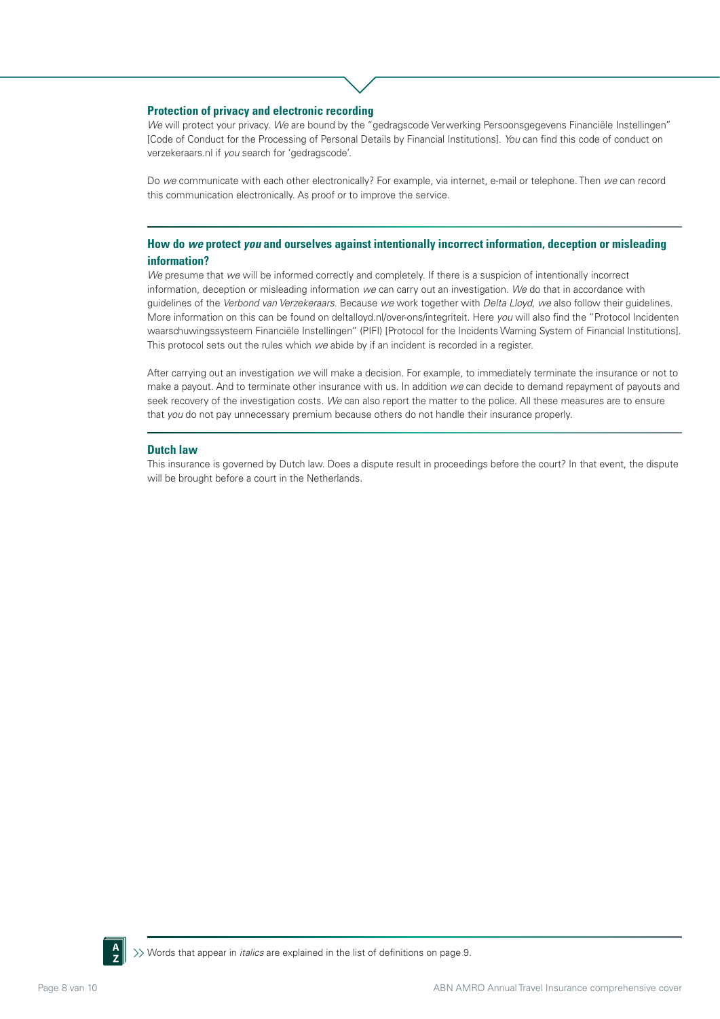### **Protection of privacy and electronic recording**

*We* will protect your privacy. *We* are bound by the "gedragscode Verwerking Persoonsgegevens Financiële Instellingen" [Code of Conduct for the Processing of Personal Details by Financial Institutions]. *You* can find this code of conduct on verzekeraars.nl if *you* search for 'gedragscode'.

Do *we* communicate with each other electronically? For example, via internet, e-mail or telephone. Then *we* can record this communication electronically. As proof or to improve the service.

# **How do** *we* **protect** *you* **and ourselves against intentionally incorrect information, deception or misleading information?**

*We* presume that *we* will be informed correctly and completely. If there is a suspicion of intentionally incorrect information, deception or misleading information *we* can carry out an investigation. *We* do that in accordance with guidelines of the *Verbond van Verzekeraars*. Because *we* work together with *Delta Lloyd*, *we* also follow their guidelines. More information on this can be found on deltalloyd.nl/over-ons/integriteit. Here *you* will also find the "Protocol Incidenten waarschuwingssysteem Financiële Instellingen" (PIFI) [Protocol for the Incidents Warning System of Financial Institutions]. This protocol sets out the rules which *we* abide by if an incident is recorded in a register.

After carrying out an investigation *we* will make a decision. For example, to immediately terminate the insurance or not to make a payout. And to terminate other insurance with us. In addition *we* can decide to demand repayment of payouts and seek recovery of the investigation costs. *We* can also report the matter to the police. All these measures are to ensure that *you* do not pay unnecessary premium because others do not handle their insurance properly.

#### **Dutch law**

This insurance is governed by Dutch law. Does a dispute result in proceedings before the court? In that event, the dispute will be brought before a court in the Netherlands.

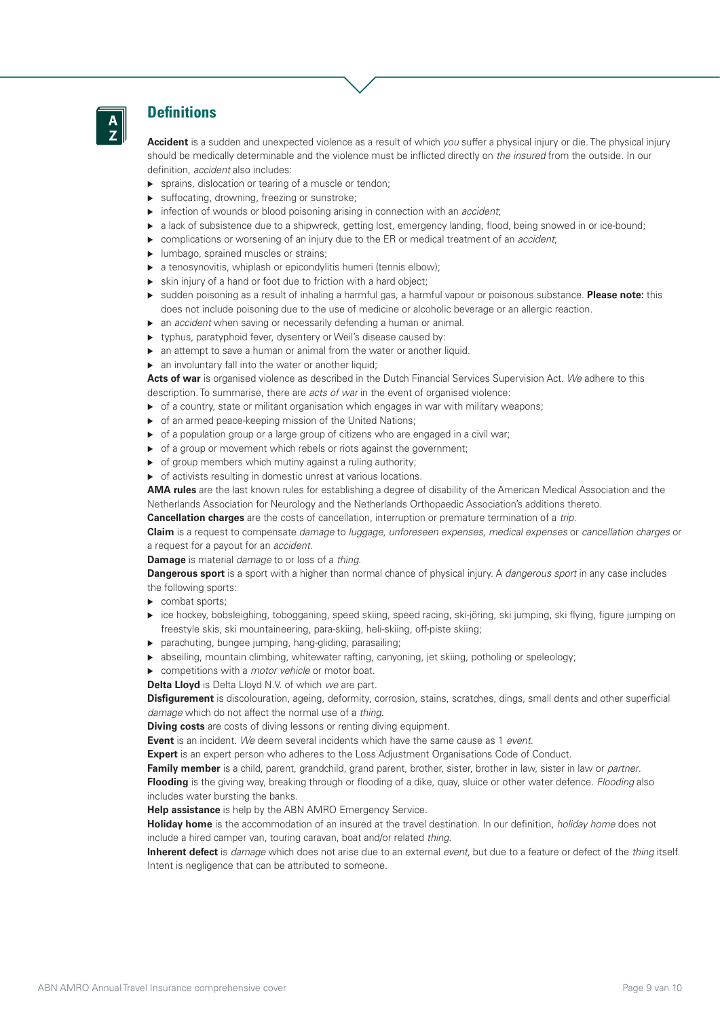

# **Definitions**

**Accident** is a sudden and unexpected violence as a result of which *you* suffer a physical injury or die. The physical injury should be medically determinable and the violence must be inflicted directly on *the insured* from the outside. In our definition, *accident* also includes:

- ▶ sprains, dislocation or tearing of a muscle or tendon:
- ▶ suffocating, drowning, freezing or sunstroke;
- infection of wounds or blood poisoning arising in connection with an *accident*;
- **a** lack of subsistence due to a shipwreck, getting lost, emergency landing, flood, being snowed in or ice-bound;
- complications or worsening of an injury due to the ER or medical treatment of an *accident*;
- **Imbago, sprained muscles or strains;**
- a tenosynovitis, whiplash or epicondylitis humeri (tennis elbow);
- skin injury of a hand or foot due to friction with a hard object;
- sudden poisoning as a result of inhaling a harmful gas, a harmful vapour or poisonous substance. **Please note:** this does not include poisoning due to the use of medicine or alcoholic beverage or an allergic reaction.
- an *accident* when saving or necessarily defending a human or animal.
- typhus, paratyphoid fever, dysentery or Weil's disease caused by:
- an attempt to save a human or animal from the water or another liquid.
- an involuntary fall into the water or another liquid;

**Acts of war** is organised violence as described in the Dutch Financial Services Supervision Act. *We* adhere to this description. To summarise, there are *acts of war* in the event of organised violence:

- $\triangleright$  of a country, state or militant organisation which engages in war with military weapons;
- ▶ of an armed peace-keeping mission of the United Nations:
- of a population group or a large group of citizens who are engaged in a civil war;
- of a group or movement which rebels or riots against the government;
- $\triangleright$  of group members which mutiny against a ruling authority;
- of activists resulting in domestic unrest at various locations.

**AMA rules** are the last known rules for establishing a degree of disability of the American Medical Association and the Netherlands Association for Neurology and the Netherlands Orthopaedic Association's additions thereto.

**Cancellation charges** are the costs of cancellation, interruption or premature termination of a *trip*.

**Claim** is a request to compensate *damage* to *luggage*, *unforeseen expenses*, *medical expenses* or *cancellation charges* or a request for a payout for an *accident*.

**Damage** is material *damage* to or loss of a *thing*.

**Dangerous sport** is a sport with a higher than normal chance of physical injury. A *dangerous sport* in any case includes the following sports:

- combat sports;
- ice hockey, bobsleighing, tobogganing, speed skiing, speed racing, ski-jöring, ski jumping, ski flying, figure jumping on freestyle skis, ski mountaineering, para-skiing, heli-skiing, off-piste skiing;
- parachuting, bungee jumping, hang-gliding, parasailing;
- abseiling, mountain climbing, whitewater rafting, canyoning, jet skiing, potholing or speleology;
- competitions with a *motor vehicle* or motor boat.

**Delta Lloyd** is Delta Lloyd N.V. of which *we* are part.

**Disfigurement** is discolouration, ageing, deformity, corrosion, stains, scratches, dings, small dents and other superficial *damage* which do not affect the normal use of a *thing*.

**Diving costs** are costs of diving lessons or renting diving equipment.

**Event** is an incident. *We* deem several incidents which have the same cause as 1 *event*.

**Expert** is an expert person who adheres to the Loss Adjustment Organisations Code of Conduct.

**Family member** is a child, parent, grandchild, grand parent, brother, sister, brother in law, sister in law or *partner*. **Flooding** is the giving way, breaking through or flooding of a dike, quay, sluice or other water defence. *Flooding* also includes water bursting the banks.

**Help assistance** is help by the ABN AMRO Emergency Service.

**Holiday home** is the accommodation of an insured at the travel destination. In our definition, *holiday home* does not include a hired camper van, touring caravan, boat and/or related *thing*.

**Inherent defect** is *damage* which does not arise due to an external *event*, but due to a feature or defect of the *thing* itself. Intent is negligence that can be attributed to someone.